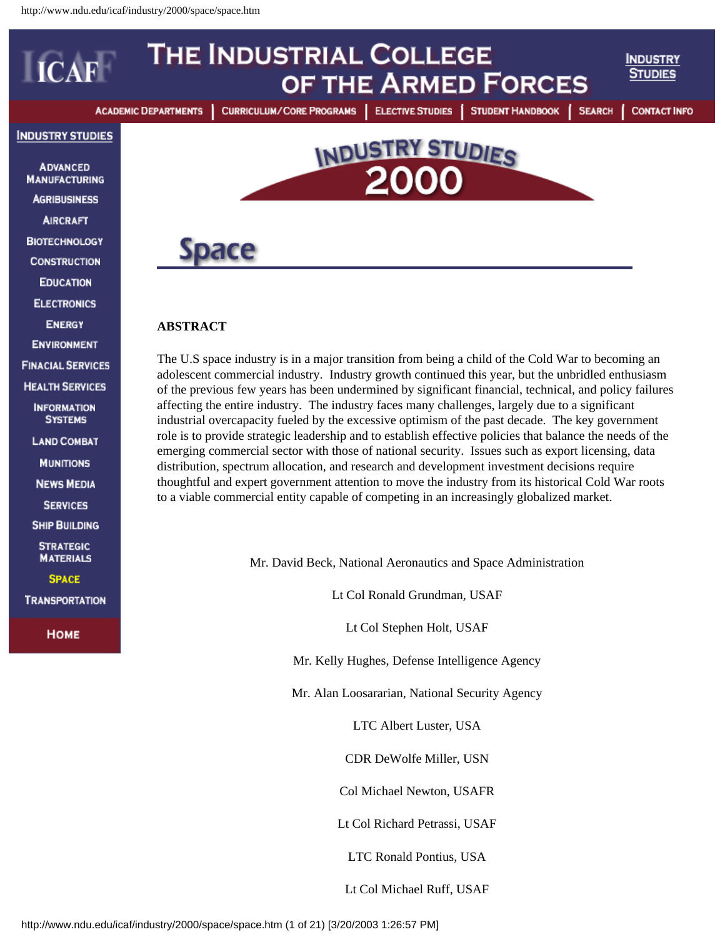# **THE INDUSTRIAL COLLEGE** OF THE ARMED FORCES

**ACADEMIC DEPARTMENTS** 

CURRICULUM/CORE PROGRAMS | ELECTIVE STUDIES | STUDENT HANDBOOK

**INDUSTRY** STUDIES

**CONTACT INFO** 

**SEARCH** 

#### **INDUSTRY STUDIES**

**ICAF** 

**ADVANCED MANUFACTURING AGRIBUSINESS AIRCRAFT BIOTECHNOLOGY CONSTRUCTION EDUCATION ELECTRONICS ENERGY ENVIRONMENT** 

<span id="page-0-0"></span>**FINACIAL SERVICES** 

**HEALTH SERVICES** 

**INFORMATION SYSTEMS** 

**LAND COMBAT** 

**MUNITIONS** 

**NEWS MEDIA** 

**SERVICES** 

**SHIP BUILDING** 

**STRATEGIC MATERIALS** 

**SPACE** 

**TRANSPORTATION** 

**НОМЕ** 



## **Space**

## **ABSTRACT**

The U.S space industry is in a major transition from being a child of the Cold War to becoming an adolescent commercial industry. Industry growth continued this year, but the unbridled enthusiasm of the previous few years has been undermined by significant financial, technical, and policy failures affecting the entire industry. The industry faces many challenges, largely due to a significant industrial overcapacity fueled by the excessive optimism of the past decade. The key government role is to provide strategic leadership and to establish effective policies that balance the needs of the emerging commercial sector with those of national security. Issues such as export licensing, data distribution, spectrum allocation, and research and development investment decisions require thoughtful and expert government attention to move the industry from its historical Cold War roots to a viable commercial entity capable of competing in an increasingly globalized market.

Mr. David Beck, National Aeronautics and Space Administration

Lt Col Ronald Grundman, USAF

Lt Col Stephen Holt, USAF

Mr. Kelly Hughes, Defense Intelligence Agency

Mr. Alan Loosararian, National Security Agency

LTC Albert Luster, USA

CDR DeWolfe Miller, USN

Col Michael Newton, USAFR

Lt Col Richard Petrassi, USAF

LTC Ronald Pontius, USA

Lt Col Michael Ruff, USAF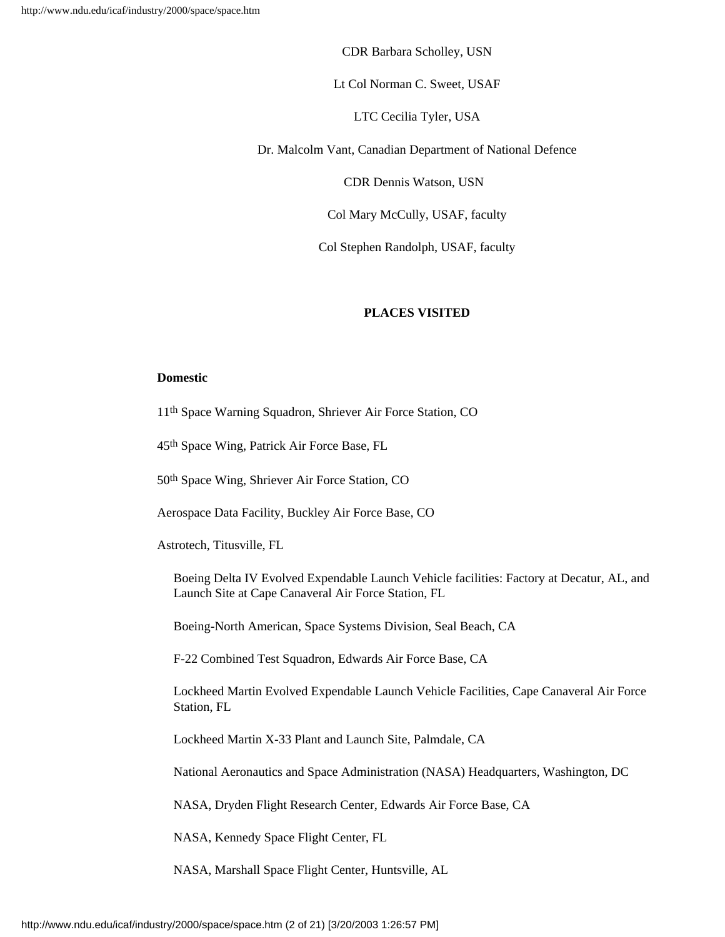CDR Barbara Scholley, USN

Lt Col Norman C. Sweet, USAF

LTC Cecilia Tyler, USA

Dr. Malcolm Vant, Canadian Department of National Defence

CDR Dennis Watson, USN

Col Mary McCully, USAF, faculty

Col Stephen Randolph, USAF, faculty

#### **PLACES VISITED**

#### **Domestic**

11th Space Warning Squadron, Shriever Air Force Station, CO

45th Space Wing, Patrick Air Force Base, FL

50th Space Wing, Shriever Air Force Station, CO

Aerospace Data Facility, Buckley Air Force Base, CO

Astrotech, Titusville, FL

Boeing Delta IV Evolved Expendable Launch Vehicle facilities: Factory at Decatur, AL, and Launch Site at Cape Canaveral Air Force Station, FL

Boeing-North American, Space Systems Division, Seal Beach, CA

F-22 Combined Test Squadron, Edwards Air Force Base, CA

Lockheed Martin Evolved Expendable Launch Vehicle Facilities, Cape Canaveral Air Force Station, FL

Lockheed Martin X-33 Plant and Launch Site, Palmdale, CA

National Aeronautics and Space Administration (NASA) Headquarters, Washington, DC

NASA, Dryden Flight Research Center, Edwards Air Force Base, CA

NASA, Kennedy Space Flight Center, FL

NASA, Marshall Space Flight Center, Huntsville, AL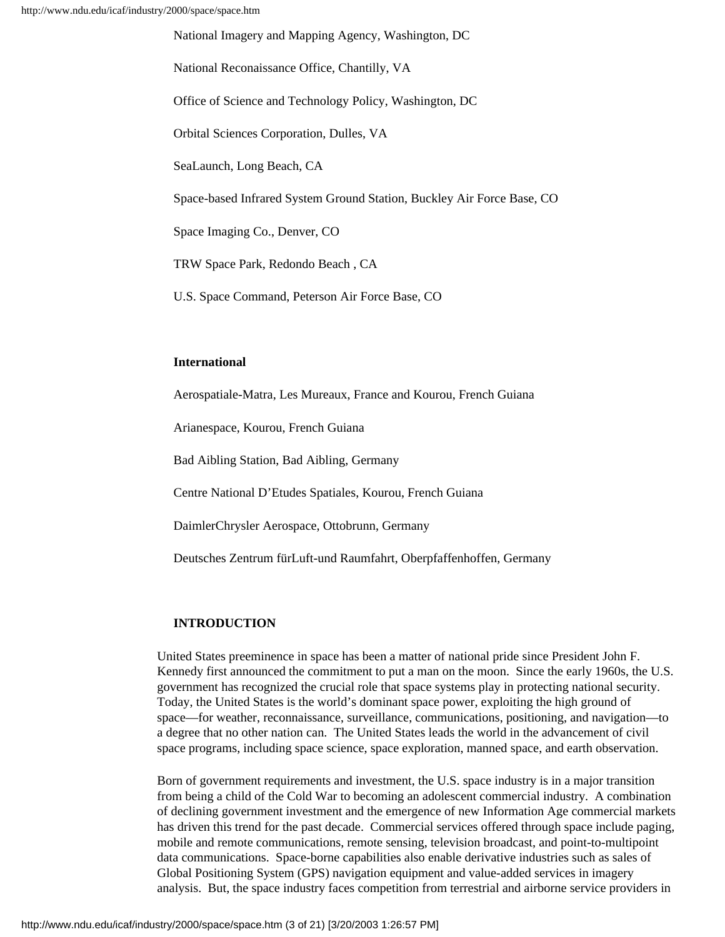National Imagery and Mapping Agency, Washington, DC

National Reconaissance Office, Chantilly, VA

Office of Science and Technology Policy, Washington, DC

Orbital Sciences Corporation, Dulles, VA

SeaLaunch, Long Beach, CA

Space-based Infrared System Ground Station, Buckley Air Force Base, CO

Space Imaging Co., Denver, CO

TRW Space Park, Redondo Beach , CA

U.S. Space Command, Peterson Air Force Base, CO

#### **International**

Aerospatiale-Matra, Les Mureaux, France and Kourou, French Guiana

Arianespace, Kourou, French Guiana

Bad Aibling Station, Bad Aibling, Germany

Centre National D'Etudes Spatiales, Kourou, French Guiana

DaimlerChrysler Aerospace, Ottobrunn, Germany

Deutsches Zentrum fürLuft-und Raumfahrt, Oberpfaffenhoffen, Germany

#### **INTRODUCTION**

United States preeminence in space has been a matter of national pride since President John F. Kennedy first announced the commitment to put a man on the moon. Since the early 1960s, the U.S. government has recognized the crucial role that space systems play in protecting national security. Today, the United States is the world's dominant space power, exploiting the high ground of space—for weather, reconnaissance, surveillance, communications, positioning, and navigation—to a degree that no other nation can. The United States leads the world in the advancement of civil space programs, including space science, space exploration, manned space, and earth observation.

Born of government requirements and investment, the U.S. space industry is in a major transition from being a child of the Cold War to becoming an adolescent commercial industry. A combination of declining government investment and the emergence of new Information Age commercial markets has driven this trend for the past decade. Commercial services offered through space include paging, mobile and remote communications, remote sensing, television broadcast, and point-to-multipoint data communications. Space-borne capabilities also enable derivative industries such as sales of Global Positioning System (GPS) navigation equipment and value-added services in imagery analysis. But, the space industry faces competition from terrestrial and airborne service providers in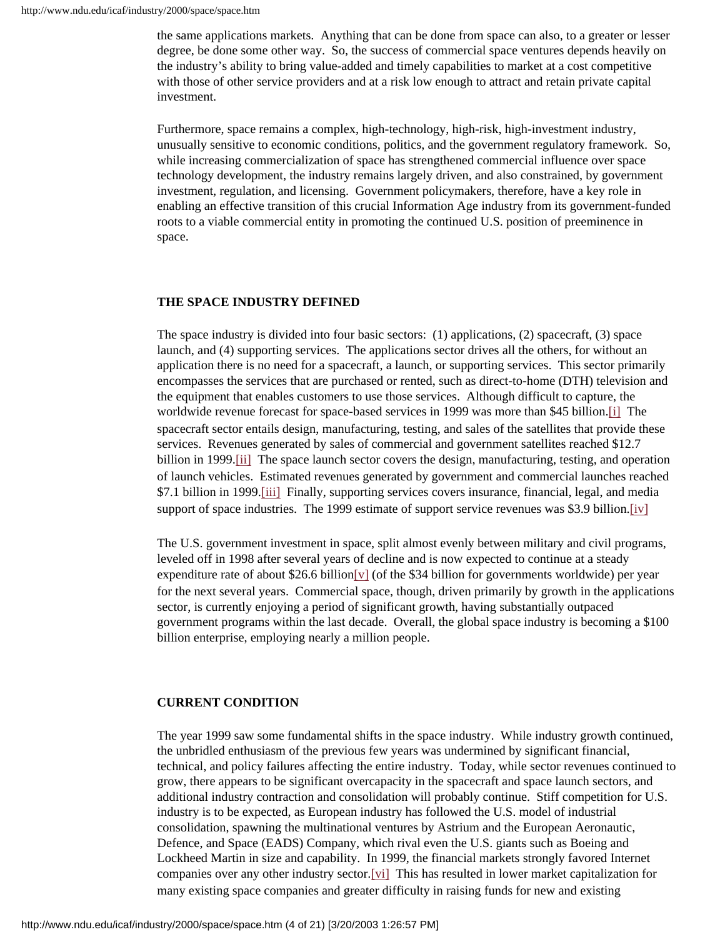the same applications markets. Anything that can be done from space can also, to a greater or lesser degree, be done some other way. So, the success of commercial space ventures depends heavily on the industry's ability to bring value-added and timely capabilities to market at a cost competitive with those of other service providers and at a risk low enough to attract and retain private capital investment.

Furthermore, space remains a complex, high-technology, high-risk, high-investment industry, unusually sensitive to economic conditions, politics, and the government regulatory framework. So, while increasing commercialization of space has strengthened commercial influence over space technology development, the industry remains largely driven, and also constrained, by government investment, regulation, and licensing. Government policymakers, therefore, have a key role in enabling an effective transition of this crucial Information Age industry from its government-funded roots to a viable commercial entity in promoting the continued U.S. position of preeminence in space.

#### **THE SPACE INDUSTRY DEFINED**

<span id="page-3-0"></span>The space industry is divided into four basic sectors: (1) applications, (2) spacecraft, (3) space launch, and (4) supporting services. The applications sector drives all the others, for without an application there is no need for a spacecraft, a launch, or supporting services. This sector primarily encompasses the services that are purchased or rented, such as direct-to-home (DTH) television and the equipment that enables customers to use those services. Although difficult to capture, the worldwide revenue forecast for space-based services in 1999 was more than \$45 billion[.\[i\]](#page-16-0) The spacecraft sector entails design, manufacturing, testing, and sales of the satellites that provide these services. Revenues generated by sales of commercial and government satellites reached \$12.7 billion in 1999[.\[ii\]](#page-16-1) The space launch sector covers the design, manufacturing, testing, and operation of launch vehicles. Estimated revenues generated by government and commercial launches reached \$7.1 billion in 1999.[\[iii\]](#page-16-2) Finally, supporting services covers insurance, financial, legal, and media support of space industries. The 1999 estimate of support service revenues was \$3.9 billion[.\[iv\]](#page-16-3)

<span id="page-3-4"></span><span id="page-3-3"></span><span id="page-3-2"></span><span id="page-3-1"></span>The U.S. government investment in space, split almost evenly between military and civil programs, leveled off in 1998 after several years of decline and is now expected to continue at a steady expenditure rate of about \$26.6 billion[\[v\]](#page-16-4) (of the \$34 billion for governments worldwide) per year for the next several years. Commercial space, though, driven primarily by growth in the applications sector, is currently enjoying a period of significant growth, having substantially outpaced government programs within the last decade. Overall, the global space industry is becoming a \$100 billion enterprise, employing nearly a million people.

## **CURRENT CONDITION**

<span id="page-3-5"></span>The year 1999 saw some fundamental shifts in the space industry. While industry growth continued, the unbridled enthusiasm of the previous few years was undermined by significant financial, technical, and policy failures affecting the entire industry. Today, while sector revenues continued to grow, there appears to be significant overcapacity in the spacecraft and space launch sectors, and additional industry contraction and consolidation will probably continue. Stiff competition for U.S. industry is to be expected, as European industry has followed the U.S. model of industrial consolidation, spawning the multinational ventures by Astrium and the European Aeronautic, Defence, and Space (EADS) Company, which rival even the U.S. giants such as Boeing and Lockheed Martin in size and capability. In 1999, the financial markets strongly favored Internet companies over any other industry sector[.\[vi\]](#page-16-5) This has resulted in lower market capitalization for many existing space companies and greater difficulty in raising funds for new and existing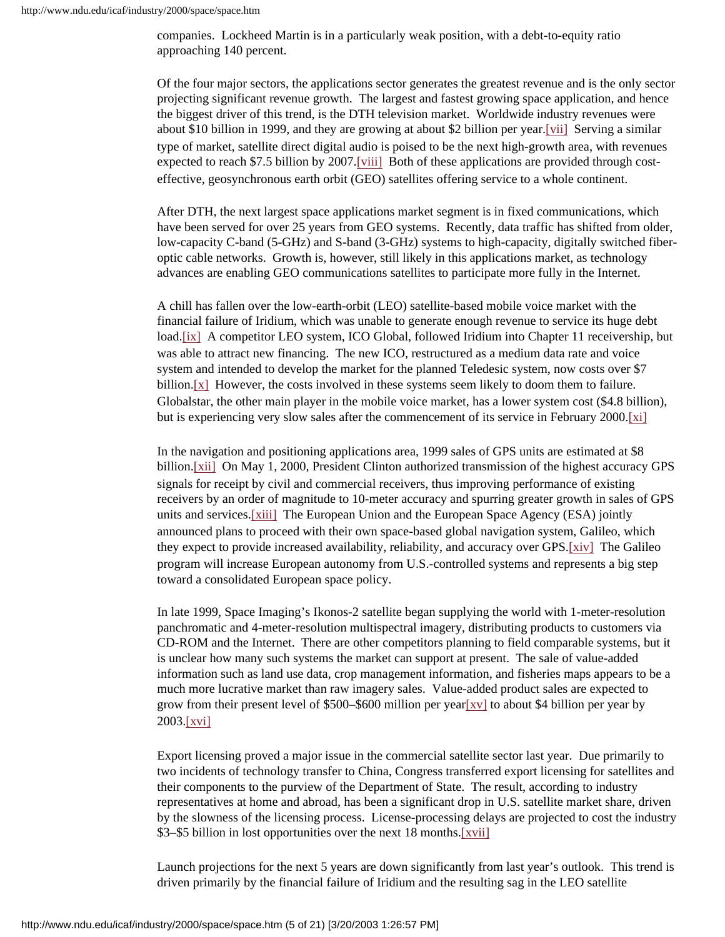companies. Lockheed Martin is in a particularly weak position, with a debt-to-equity ratio approaching 140 percent.

<span id="page-4-0"></span>Of the four major sectors, the applications sector generates the greatest revenue and is the only sector projecting significant revenue growth. The largest and fastest growing space application, and hence the biggest driver of this trend, is the DTH television market. Worldwide industry revenues were about \$10 billion in 1999, and they are growing at about \$2 billion per year[.\[vii\]](#page-16-6) Serving a similar type of market, satellite direct digital audio is poised to be the next high-growth area, with revenues expected to reach \$7.5 billion by 2007[.\[viii\]](#page-16-7) Both of these applications are provided through costeffective, geosynchronous earth orbit (GEO) satellites offering service to a whole continent.

<span id="page-4-1"></span>After DTH, the next largest space applications market segment is in fixed communications, which have been served for over 25 years from GEO systems. Recently, data traffic has shifted from older, low-capacity C-band (5-GHz) and S-band (3-GHz) systems to high-capacity, digitally switched fiberoptic cable networks. Growth is, however, still likely in this applications market, as technology advances are enabling GEO communications satellites to participate more fully in the Internet.

<span id="page-4-2"></span>A chill has fallen over the low-earth-orbit (LEO) satellite-based mobile voice market with the financial failure of Iridium, which was unable to generate enough revenue to service its huge debt load[.\[ix\]](#page-16-8) A competitor LEO system, ICO Global, followed Iridium into Chapter 11 receivership, but was able to attract new financing. The new ICO, restructured as a medium data rate and voice system and intended to develop the market for the planned Teledesic system, now costs over \$7 billion. $[x]$  However, the costs involved in these systems seem likely to doom them to failure. Globalstar, the other main player in the mobile voice market, has a lower system cost (\$4.8 billion), but is experiencing very slow sales after the commencement of its service in February 2000.[\[xi\]](#page-16-10)

<span id="page-4-6"></span><span id="page-4-5"></span><span id="page-4-4"></span><span id="page-4-3"></span>In the navigation and positioning applications area, 1999 sales of GPS units are estimated at \$8 billion.[\[xii\]](#page-16-11) On May 1, 2000, President Clinton authorized transmission of the highest accuracy GPS signals for receipt by civil and commercial receivers, thus improving performance of existing receivers by an order of magnitude to 10-meter accuracy and spurring greater growth in sales of GPS units and services[.\[xiii\]](#page-16-12) The European Union and the European Space Agency (ESA) jointly announced plans to proceed with their own space-based global navigation system, Galileo, which they expect to provide increased availability, reliability, and accuracy over GPS.[\[xiv\]](#page-16-13) The Galileo program will increase European autonomy from U.S.-controlled systems and represents a big step toward a consolidated European space policy.

<span id="page-4-7"></span>In late 1999, Space Imaging's Ikonos-2 satellite began supplying the world with 1-meter-resolution panchromatic and 4-meter-resolution multispectral imagery, distributing products to customers via CD-ROM and the Internet. There are other competitors planning to field comparable systems, but it is unclear how many such systems the market can support at present. The sale of value-added information such as land use data, crop management information, and fisheries maps appears to be a much more lucrative market than raw imagery sales. Value-added product sales are expected to grow from their present level of \$500–\$600 million per year[\[xv\]](#page-16-14) to about \$4 billion per year by 2003[.\[xvi\]](#page-16-15)

<span id="page-4-9"></span><span id="page-4-8"></span>Export licensing proved a major issue in the commercial satellite sector last year. Due primarily to two incidents of technology transfer to China, Congress transferred export licensing for satellites and their components to the purview of the Department of State. The result, according to industry representatives at home and abroad, has been a significant drop in U.S. satellite market share, driven by the slowness of the licensing process. License-processing delays are projected to cost the industry \$3–\$5 billion in lost opportunities over the next 18 months.[\[xvii\]](#page-16-16)

<span id="page-4-10"></span>Launch projections for the next 5 years are down significantly from last year's outlook. This trend is driven primarily by the financial failure of Iridium and the resulting sag in the LEO satellite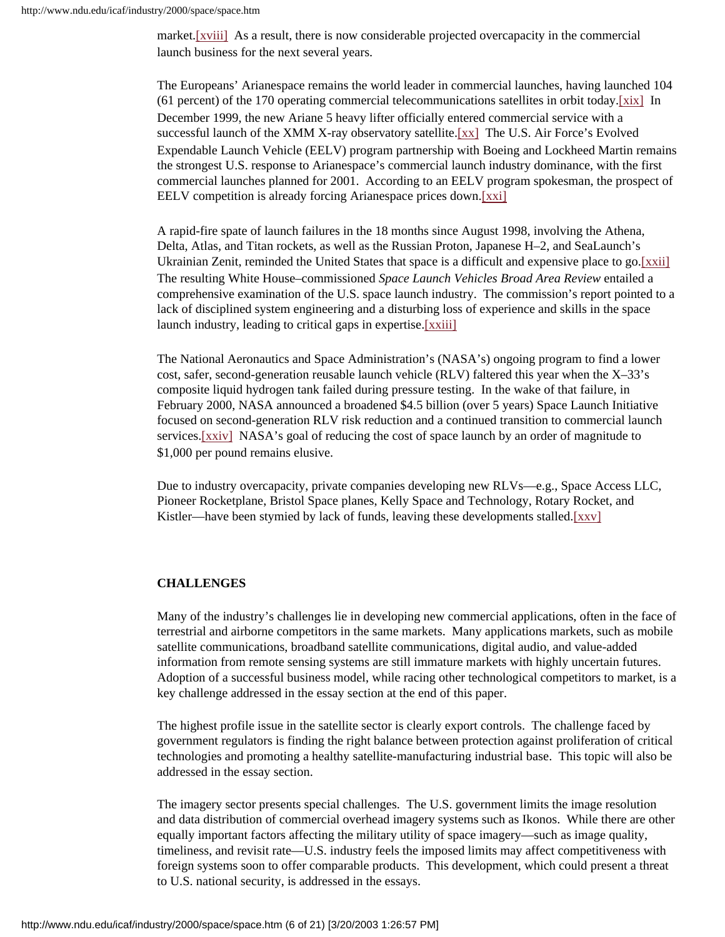<span id="page-5-0"></span>market[.\[xviii\]](#page-16-17) As a result, there is now considerable projected overcapacity in the commercial launch business for the next several years.

<span id="page-5-2"></span><span id="page-5-1"></span>The Europeans' Arianespace remains the world leader in commercial launches, having launched 104 (61 percent) of the 170 operating commercial telecommunications satellites in orbit today.[\[xix\]](#page-17-0) In December 1999, the new Ariane 5 heavy lifter officially entered commercial service with a successful launch of the XMM X-ray observatory satellite.[\[xx\]](#page-17-1) The U.S. Air Force's Evolved Expendable Launch Vehicle (EELV) program partnership with Boeing and Lockheed Martin remains the strongest U.S. response to Arianespace's commercial launch industry dominance, with the first commercial launches planned for 2001. According to an EELV program spokesman, the prospect of EELV competition is already forcing Arianespace prices down.[\[xxi\]](#page-17-2)

<span id="page-5-4"></span><span id="page-5-3"></span>A rapid-fire spate of launch failures in the 18 months since August 1998, involving the Athena, Delta, Atlas, and Titan rockets, as well as the Russian Proton, Japanese H–2, and SeaLaunch's Ukrainian Zenit, reminded the United States that space is a difficult and expensive place to go.[\[xxii\]](#page-17-3)  The resulting White House–commissioned *Space Launch Vehicles Broad Area Review* entailed a comprehensive examination of the U.S. space launch industry. The commission's report pointed to a lack of disciplined system engineering and a disturbing loss of experience and skills in the space launch industry, leading to critical gaps in expertise.[\[xxiii\]](#page-17-4)

<span id="page-5-5"></span>The National Aeronautics and Space Administration's (NASA's) ongoing program to find a lower cost, safer, second-generation reusable launch vehicle (RLV) faltered this year when the X–33's composite liquid hydrogen tank failed during pressure testing. In the wake of that failure, in February 2000, NASA announced a broadened \$4.5 billion (over 5 years) Space Launch Initiative focused on second-generation RLV risk reduction and a continued transition to commercial launch services[.\[xxiv\]](#page-17-5) NASA's goal of reducing the cost of space launch by an order of magnitude to \$1,000 per pound remains elusive.

<span id="page-5-7"></span><span id="page-5-6"></span>Due to industry overcapacity, private companies developing new RLVs—e.g., Space Access LLC, Pioneer Rocketplane, Bristol Space planes, Kelly Space and Technology, Rotary Rocket, and Kistler—have been stymied by lack of funds, leaving these developments stalled[.\[xxv\]](#page-17-6)

### **CHALLENGES**

Many of the industry's challenges lie in developing new commercial applications, often in the face of terrestrial and airborne competitors in the same markets. Many applications markets, such as mobile satellite communications, broadband satellite communications, digital audio, and value-added information from remote sensing systems are still immature markets with highly uncertain futures. Adoption of a successful business model, while racing other technological competitors to market, is a key challenge addressed in the essay section at the end of this paper.

The highest profile issue in the satellite sector is clearly export controls. The challenge faced by government regulators is finding the right balance between protection against proliferation of critical technologies and promoting a healthy satellite-manufacturing industrial base. This topic will also be addressed in the essay section.

The imagery sector presents special challenges. The U.S. government limits the image resolution and data distribution of commercial overhead imagery systems such as Ikonos. While there are other equally important factors affecting the military utility of space imagery—such as image quality, timeliness, and revisit rate—U.S. industry feels the imposed limits may affect competitiveness with foreign systems soon to offer comparable products. This development, which could present a threat to U.S. national security, is addressed in the essays.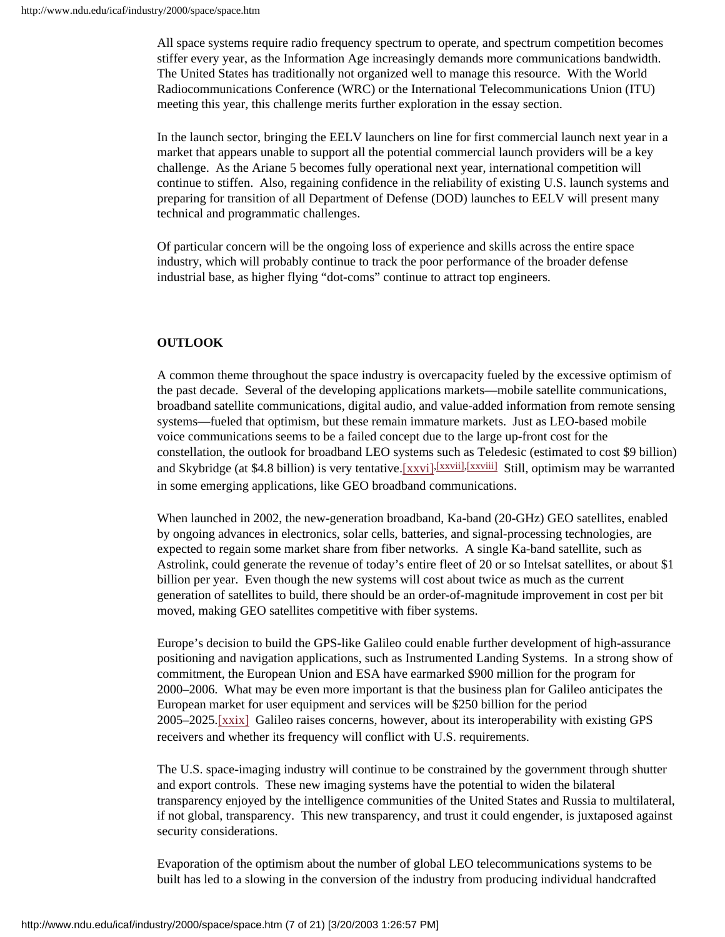All space systems require radio frequency spectrum to operate, and spectrum competition becomes stiffer every year, as the Information Age increasingly demands more communications bandwidth. The United States has traditionally not organized well to manage this resource. With the World Radiocommunications Conference (WRC) or the International Telecommunications Union (ITU) meeting this year, this challenge merits further exploration in the essay section.

In the launch sector, bringing the EELV launchers on line for first commercial launch next year in a market that appears unable to support all the potential commercial launch providers will be a key challenge. As the Ariane 5 becomes fully operational next year, international competition will continue to stiffen. Also, regaining confidence in the reliability of existing U.S. launch systems and preparing for transition of all Department of Defense (DOD) launches to EELV will present many technical and programmatic challenges.

Of particular concern will be the ongoing loss of experience and skills across the entire space industry, which will probably continue to track the poor performance of the broader defense industrial base, as higher flying "dot-coms" continue to attract top engineers.

## **OUTLOOK**

A common theme throughout the space industry is overcapacity fueled by the excessive optimism of the past decade. Several of the developing applications markets—mobile satellite communications, broadband satellite communications, digital audio, and value-added information from remote sensing systems—fueled that optimism, but these remain immature markets. Just as LEO-based mobile voice communications seems to be a failed concept due to the large up-front cost for the constellation, the outlook for broadband LEO systems such as Teledesic (estimated to cost \$9 billion) and Skybridge (at \$4.8 billion) is very tentative[.\[xxvi\]](#page-17-7),[\[xxvii\]](#page-17-8)[,\[xxviii\]](#page-17-9) Still, optimism may be warranted in some emerging applications, like GEO broadband communications.

<span id="page-6-0"></span>When launched in 2002, the new-generation broadband, Ka-band (20-GHz) GEO satellites, enabled by ongoing advances in electronics, solar cells, batteries, and signal-processing technologies, are expected to regain some market share from fiber networks. A single Ka-band satellite, such as Astrolink, could generate the revenue of today's entire fleet of 20 or so Intelsat satellites, or about \$1 billion per year. Even though the new systems will cost about twice as much as the current generation of satellites to build, there should be an order-of-magnitude improvement in cost per bit moved, making GEO satellites competitive with fiber systems.

Europe's decision to build the GPS-like Galileo could enable further development of high-assurance positioning and navigation applications, such as Instrumented Landing Systems. In a strong show of commitment, the European Union and ESA have earmarked \$900 million for the program for 2000–2006. What may be even more important is that the business plan for Galileo anticipates the European market for user equipment and services will be \$250 billion for the period 2005–2025[.\[xxix\]](#page-17-10) Galileo raises concerns, however, about its interoperability with existing GPS receivers and whether its frequency will conflict with U.S. requirements.

<span id="page-6-1"></span>The U.S. space-imaging industry will continue to be constrained by the government through shutter and export controls. These new imaging systems have the potential to widen the bilateral transparency enjoyed by the intelligence communities of the United States and Russia to multilateral, if not global, transparency. This new transparency, and trust it could engender, is juxtaposed against security considerations.

Evaporation of the optimism about the number of global LEO telecommunications systems to be built has led to a slowing in the conversion of the industry from producing individual handcrafted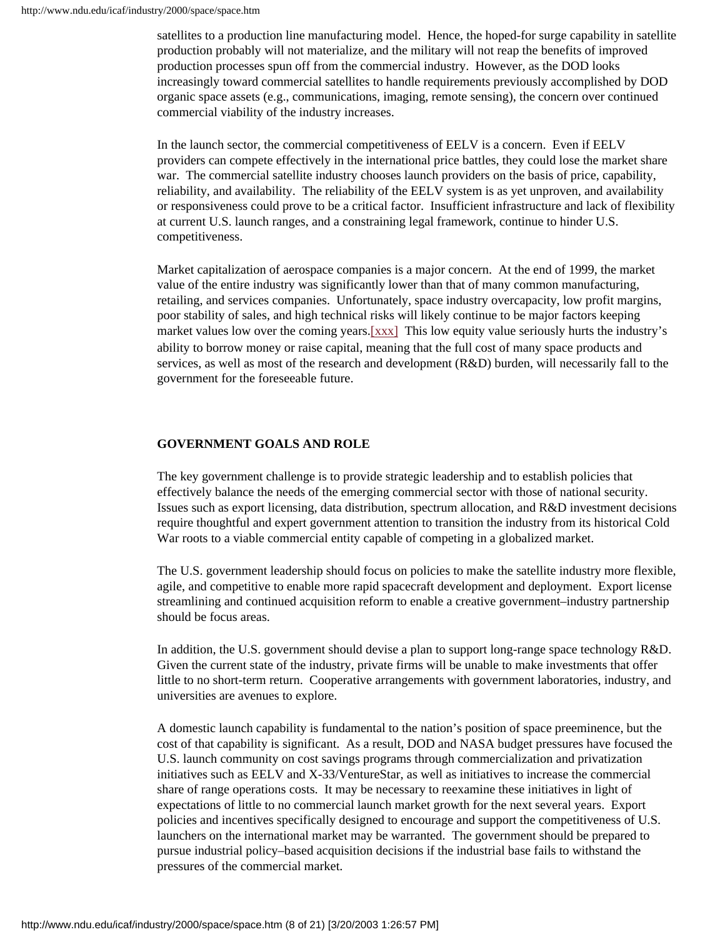satellites to a production line manufacturing model. Hence, the hoped-for surge capability in satellite production probably will not materialize, and the military will not reap the benefits of improved production processes spun off from the commercial industry. However, as the DOD looks increasingly toward commercial satellites to handle requirements previously accomplished by DOD organic space assets (e.g., communications, imaging, remote sensing), the concern over continued commercial viability of the industry increases.

In the launch sector, the commercial competitiveness of EELV is a concern. Even if EELV providers can compete effectively in the international price battles, they could lose the market share war. The commercial satellite industry chooses launch providers on the basis of price, capability, reliability, and availability. The reliability of the EELV system is as yet unproven, and availability or responsiveness could prove to be a critical factor. Insufficient infrastructure and lack of flexibility at current U.S. launch ranges, and a constraining legal framework, continue to hinder U.S. competitiveness.

<span id="page-7-0"></span>Market capitalization of aerospace companies is a major concern. At the end of 1999, the market value of the entire industry was significantly lower than that of many common manufacturing, retailing, and services companies. Unfortunately, space industry overcapacity, low profit margins, poor stability of sales, and high technical risks will likely continue to be major factors keeping market values low over the coming years[.\[xxx\]](#page-17-11) This low equity value seriously hurts the industry's ability to borrow money or raise capital, meaning that the full cost of many space products and services, as well as most of the research and development (R&D) burden, will necessarily fall to the government for the foreseeable future.

## **GOVERNMENT GOALS AND ROLE**

The key government challenge is to provide strategic leadership and to establish policies that effectively balance the needs of the emerging commercial sector with those of national security. Issues such as export licensing, data distribution, spectrum allocation, and R&D investment decisions require thoughtful and expert government attention to transition the industry from its historical Cold War roots to a viable commercial entity capable of competing in a globalized market.

The U.S. government leadership should focus on policies to make the satellite industry more flexible, agile, and competitive to enable more rapid spacecraft development and deployment. Export license streamlining and continued acquisition reform to enable a creative government–industry partnership should be focus areas.

In addition, the U.S. government should devise a plan to support long-range space technology R&D. Given the current state of the industry, private firms will be unable to make investments that offer little to no short-term return. Cooperative arrangements with government laboratories, industry, and universities are avenues to explore.

A domestic launch capability is fundamental to the nation's position of space preeminence, but the cost of that capability is significant. As a result, DOD and NASA budget pressures have focused the U.S. launch community on cost savings programs through commercialization and privatization initiatives such as EELV and X-33/VentureStar, as well as initiatives to increase the commercial share of range operations costs. It may be necessary to reexamine these initiatives in light of expectations of little to no commercial launch market growth for the next several years. Export policies and incentives specifically designed to encourage and support the competitiveness of U.S. launchers on the international market may be warranted. The government should be prepared to pursue industrial policy–based acquisition decisions if the industrial base fails to withstand the pressures of the commercial market.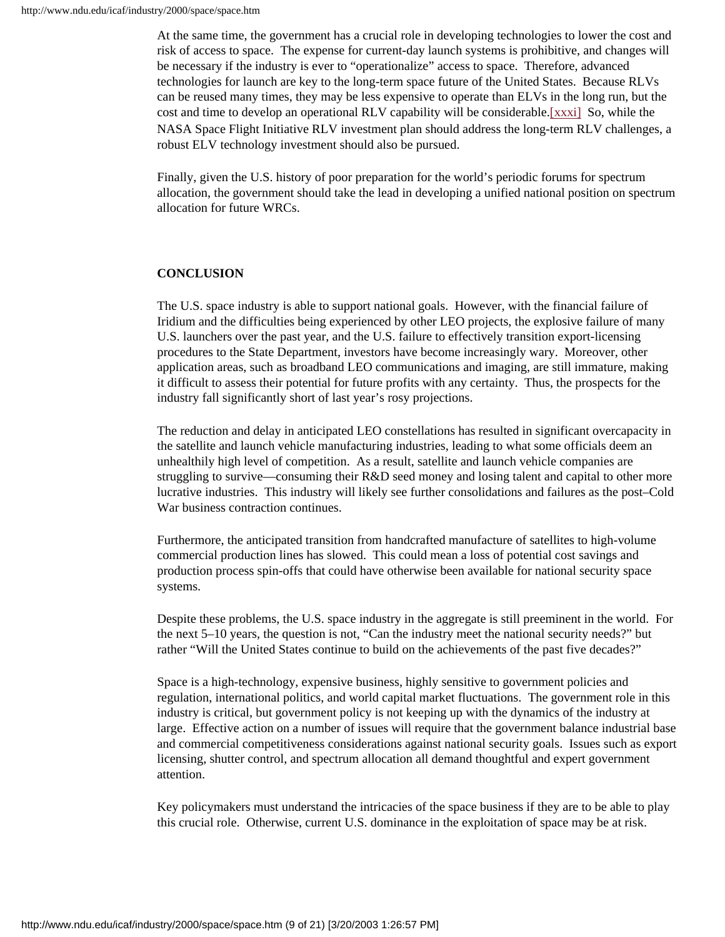At the same time, the government has a crucial role in developing technologies to lower the cost and risk of access to space. The expense for current-day launch systems is prohibitive, and changes will be necessary if the industry is ever to "operationalize" access to space. Therefore, advanced technologies for launch are key to the long-term space future of the United States. Because RLVs can be reused many times, they may be less expensive to operate than ELVs in the long run, but the cost and time to develop an operational RLV capability will be considerable.[\[xxxi\]](#page-17-12) So, while the NASA Space Flight Initiative RLV investment plan should address the long-term RLV challenges, a robust ELV technology investment should also be pursued.

<span id="page-8-0"></span>Finally, given the U.S. history of poor preparation for the world's periodic forums for spectrum allocation, the government should take the lead in developing a unified national position on spectrum allocation for future WRCs.

## **CONCLUSION**

The U.S. space industry is able to support national goals. However, with the financial failure of Iridium and the difficulties being experienced by other LEO projects, the explosive failure of many U.S. launchers over the past year, and the U.S. failure to effectively transition export-licensing procedures to the State Department, investors have become increasingly wary. Moreover, other application areas, such as broadband LEO communications and imaging, are still immature, making it difficult to assess their potential for future profits with any certainty. Thus, the prospects for the industry fall significantly short of last year's rosy projections.

The reduction and delay in anticipated LEO constellations has resulted in significant overcapacity in the satellite and launch vehicle manufacturing industries, leading to what some officials deem an unhealthily high level of competition. As a result, satellite and launch vehicle companies are struggling to survive—consuming their R&D seed money and losing talent and capital to other more lucrative industries. This industry will likely see further consolidations and failures as the post–Cold War business contraction continues.

Furthermore, the anticipated transition from handcrafted manufacture of satellites to high-volume commercial production lines has slowed. This could mean a loss of potential cost savings and production process spin-offs that could have otherwise been available for national security space systems.

Despite these problems, the U.S. space industry in the aggregate is still preeminent in the world. For the next 5–10 years, the question is not, "Can the industry meet the national security needs?" but rather "Will the United States continue to build on the achievements of the past five decades?"

Space is a high-technology, expensive business, highly sensitive to government policies and regulation, international politics, and world capital market fluctuations. The government role in this industry is critical, but government policy is not keeping up with the dynamics of the industry at large. Effective action on a number of issues will require that the government balance industrial base and commercial competitiveness considerations against national security goals. Issues such as export licensing, shutter control, and spectrum allocation all demand thoughtful and expert government attention.

Key policymakers must understand the intricacies of the space business if they are to be able to play this crucial role. Otherwise, current U.S. dominance in the exploitation of space may be at risk.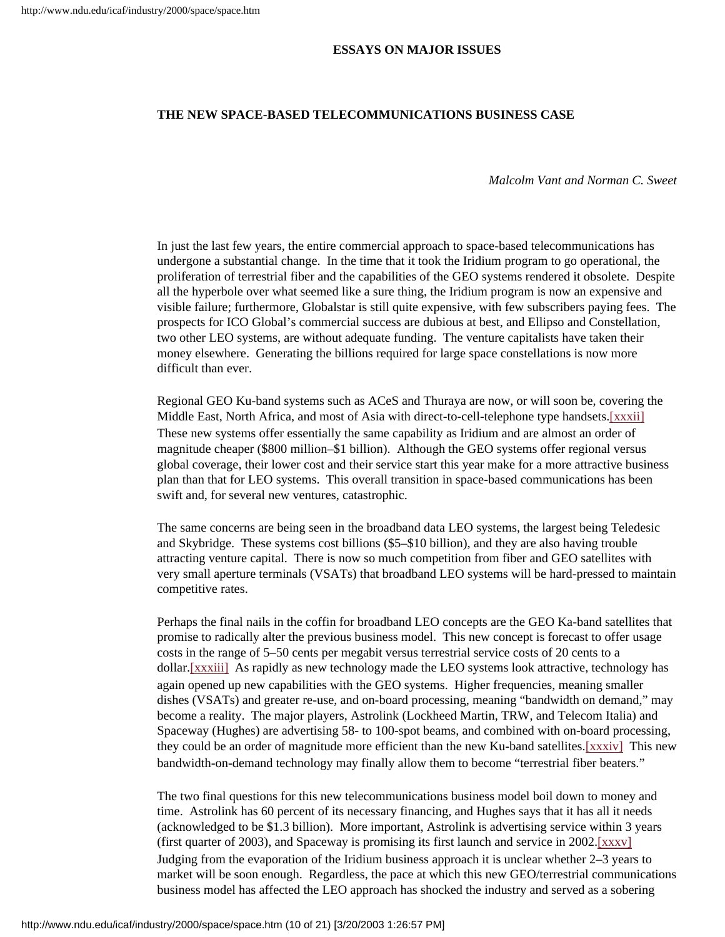#### **ESSAYS ON MAJOR ISSUES**

### **THE NEW SPACE-BASED TELECOMMUNICATIONS BUSINESS CASE**

*Malcolm Vant and Norman C. Sweet* 

In just the last few years, the entire commercial approach to space-based telecommunications has undergone a substantial change. In the time that it took the Iridium program to go operational, the proliferation of terrestrial fiber and the capabilities of the GEO systems rendered it obsolete. Despite all the hyperbole over what seemed like a sure thing, the Iridium program is now an expensive and visible failure; furthermore, Globalstar is still quite expensive, with few subscribers paying fees. The prospects for ICO Global's commercial success are dubious at best, and Ellipso and Constellation, two other LEO systems, are without adequate funding. The venture capitalists have taken their money elsewhere. Generating the billions required for large space constellations is now more difficult than ever.

<span id="page-9-0"></span>Regional GEO Ku-band systems such as ACeS and Thuraya are now, or will soon be, covering the Middle East, North Africa, and most of Asia with direct-to-cell-telephone type handsets[.\[xxxii\]](#page-17-13) These new systems offer essentially the same capability as Iridium and are almost an order of magnitude cheaper (\$800 million–\$1 billion). Although the GEO systems offer regional versus global coverage, their lower cost and their service start this year make for a more attractive business plan than that for LEO systems. This overall transition in space-based communications has been swift and, for several new ventures, catastrophic.

The same concerns are being seen in the broadband data LEO systems, the largest being Teledesic and Skybridge. These systems cost billions (\$5–\$10 billion), and they are also having trouble attracting venture capital. There is now so much competition from fiber and GEO satellites with very small aperture terminals (VSATs) that broadband LEO systems will be hard-pressed to maintain competitive rates.

<span id="page-9-1"></span>Perhaps the final nails in the coffin for broadband LEO concepts are the GEO Ka-band satellites that promise to radically alter the previous business model. This new concept is forecast to offer usage costs in the range of 5–50 cents per megabit versus terrestrial service costs of 20 cents to a dollar.[\[xxxiii\]](#page-17-14) As rapidly as new technology made the LEO systems look attractive, technology has again opened up new capabilities with the GEO systems. Higher frequencies, meaning smaller dishes (VSATs) and greater re-use, and on-board processing, meaning "bandwidth on demand," may become a reality. The major players, Astrolink (Lockheed Martin, TRW, and Telecom Italia) and Spaceway (Hughes) are advertising 58- to 100-spot beams, and combined with on-board processing, they could be an order of magnitude more efficient than the new Ku-band satellites.[\[xxxiv\]](#page-17-15) This new bandwidth-on-demand technology may finally allow them to become "terrestrial fiber beaters."

<span id="page-9-3"></span><span id="page-9-2"></span>The two final questions for this new telecommunications business model boil down to money and time. Astrolink has 60 percent of its necessary financing, and Hughes says that it has all it needs (acknowledged to be \$1.3 billion). More important, Astrolink is advertising service within 3 years (first quarter of 2003), and Spaceway is promising its first launch and service in  $2002$ .[xxxv] Judging from the evaporation of the Iridium business approach it is unclear whether 2–3 years to market will be soon enough. Regardless, the pace at which this new GEO/terrestrial communications business model has affected the LEO approach has shocked the industry and served as a sobering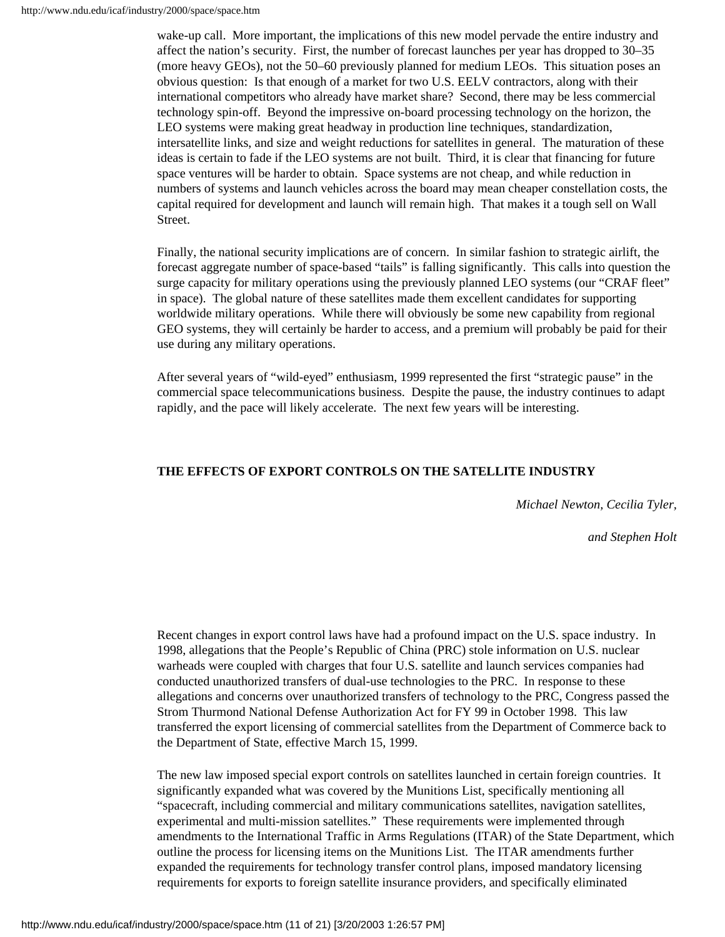wake-up call. More important, the implications of this new model pervade the entire industry and affect the nation's security. First, the number of forecast launches per year has dropped to 30–35 (more heavy GEOs), not the 50–60 previously planned for medium LEOs. This situation poses an obvious question: Is that enough of a market for two U.S. EELV contractors, along with their international competitors who already have market share? Second, there may be less commercial technology spin-off. Beyond the impressive on-board processing technology on the horizon, the LEO systems were making great headway in production line techniques, standardization, intersatellite links, and size and weight reductions for satellites in general. The maturation of these ideas is certain to fade if the LEO systems are not built. Third, it is clear that financing for future space ventures will be harder to obtain. Space systems are not cheap, and while reduction in numbers of systems and launch vehicles across the board may mean cheaper constellation costs, the capital required for development and launch will remain high. That makes it a tough sell on Wall Street.

Finally, the national security implications are of concern. In similar fashion to strategic airlift, the forecast aggregate number of space-based "tails" is falling significantly. This calls into question the surge capacity for military operations using the previously planned LEO systems (our "CRAF fleet" in space). The global nature of these satellites made them excellent candidates for supporting worldwide military operations. While there will obviously be some new capability from regional GEO systems, they will certainly be harder to access, and a premium will probably be paid for their use during any military operations.

After several years of "wild-eyed" enthusiasm, 1999 represented the first "strategic pause" in the commercial space telecommunications business. Despite the pause, the industry continues to adapt rapidly, and the pace will likely accelerate. The next few years will be interesting.

## **THE EFFECTS OF EXPORT CONTROLS ON THE SATELLITE INDUSTRY**

*Michael Newton, Cecilia Tyler,* 

*and Stephen Holt* 

Recent changes in export control laws have had a profound impact on the U.S. space industry. In 1998, allegations that the People's Republic of China (PRC) stole information on U.S. nuclear warheads were coupled with charges that four U.S. satellite and launch services companies had conducted unauthorized transfers of dual-use technologies to the PRC. In response to these allegations and concerns over unauthorized transfers of technology to the PRC, Congress passed the Strom Thurmond National Defense Authorization Act for FY 99 in October 1998. This law transferred the export licensing of commercial satellites from the Department of Commerce back to the Department of State, effective March 15, 1999.

The new law imposed special export controls on satellites launched in certain foreign countries. It significantly expanded what was covered by the Munitions List, specifically mentioning all "spacecraft, including commercial and military communications satellites, navigation satellites, experimental and multi-mission satellites." These requirements were implemented through amendments to the International Traffic in Arms Regulations (ITAR) of the State Department, which outline the process for licensing items on the Munitions List. The ITAR amendments further expanded the requirements for technology transfer control plans, imposed mandatory licensing requirements for exports to foreign satellite insurance providers, and specifically eliminated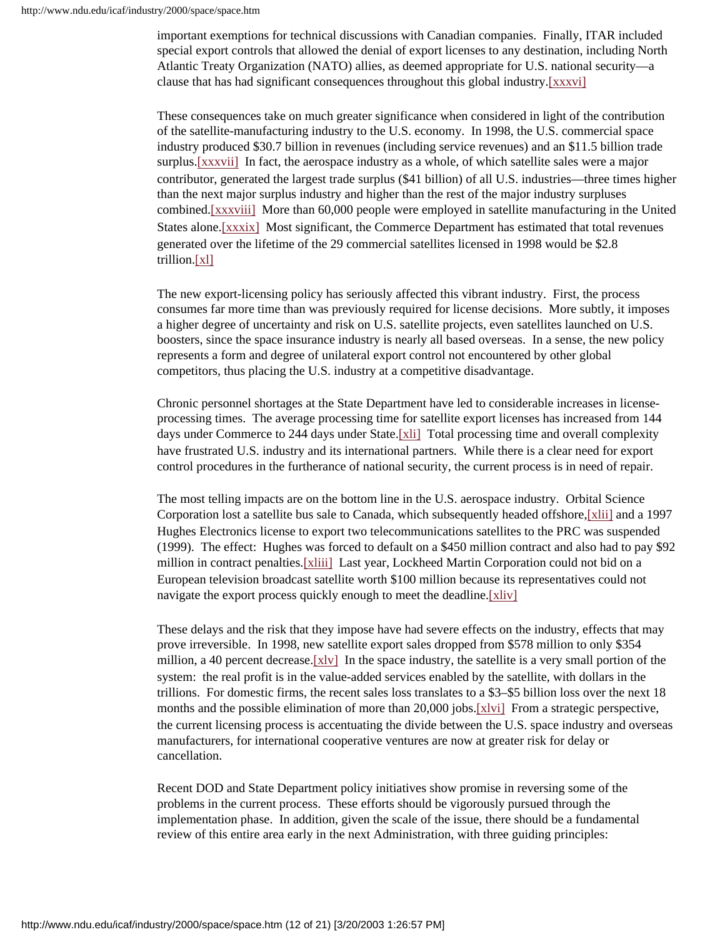important exemptions for technical discussions with Canadian companies. Finally, ITAR included special export controls that allowed the denial of export licenses to any destination, including North Atlantic Treaty Organization (NATO) allies, as deemed appropriate for U.S. national security—a clause that has had significant consequences throughout this global industry[.\[xxxvi\]](#page-18-0)

<span id="page-11-1"></span><span id="page-11-0"></span>These consequences take on much greater significance when considered in light of the contribution of the satellite-manufacturing industry to the U.S. economy. In 1998, the U.S. commercial space industry produced \$30.7 billion in revenues (including service revenues) and an \$11.5 billion trade surplus.[\[xxxvii\]](#page-18-1) In fact, the aerospace industry as a whole, of which satellite sales were a major contributor, generated the largest trade surplus (\$41 billion) of all U.S. industries—three times higher than the next major surplus industry and higher than the rest of the major industry surpluses combined[.\[xxxviii\]](#page-18-2) More than 60,000 people were employed in satellite manufacturing in the United States alone[.\[xxxix\]](#page-18-3) Most significant, the Commerce Department has estimated that total revenues generated over the lifetime of the 29 commercial satellites licensed in 1998 would be \$2.8 trillion.[\[xl\]](#page-18-4)

<span id="page-11-4"></span><span id="page-11-3"></span><span id="page-11-2"></span>The new export-licensing policy has seriously affected this vibrant industry. First, the process consumes far more time than was previously required for license decisions. More subtly, it imposes a higher degree of uncertainty and risk on U.S. satellite projects, even satellites launched on U.S. boosters, since the space insurance industry is nearly all based overseas. In a sense, the new policy represents a form and degree of unilateral export control not encountered by other global competitors, thus placing the U.S. industry at a competitive disadvantage.

<span id="page-11-5"></span>Chronic personnel shortages at the State Department have led to considerable increases in licenseprocessing times. The average processing time for satellite export licenses has increased from 144 days under Commerce to 244 days under State.[\[xli\]](#page-18-5) Total processing time and overall complexity have frustrated U.S. industry and its international partners. While there is a clear need for export control procedures in the furtherance of national security, the current process is in need of repair.

<span id="page-11-6"></span>The most telling impacts are on the bottom line in the U.S. aerospace industry. Orbital Science Corporation lost a satellite bus sale to Canada, which subsequently headed offshore[,\[xlii\]](#page-18-6) and a 1997 Hughes Electronics license to export two telecommunications satellites to the PRC was suspended (1999). The effect: Hughes was forced to default on a \$450 million contract and also had to pay \$92 million in contract penalties[.\[xliii\]](#page-18-7) Last year, Lockheed Martin Corporation could not bid on a European television broadcast satellite worth \$100 million because its representatives could not navigate the export process quickly enough to meet the deadline[.\[xliv\]](#page-18-8)

<span id="page-11-9"></span><span id="page-11-8"></span><span id="page-11-7"></span>These delays and the risk that they impose have had severe effects on the industry, effects that may prove irreversible. In 1998, new satellite export sales dropped from \$578 million to only \$354 million, a 40 percent decrease. $[x]v$  In the space industry, the satellite is a very small portion of the system: the real profit is in the value-added services enabled by the satellite, with dollars in the trillions. For domestic firms, the recent sales loss translates to a \$3–\$5 billion loss over the next 18 months and the possible elimination of more than  $20,000$  jobs. [\[xlvi\]](#page-18-10) From a strategic perspective, the current licensing process is accentuating the divide between the U.S. space industry and overseas manufacturers, for international cooperative ventures are now at greater risk for delay or cancellation.

<span id="page-11-10"></span>Recent DOD and State Department policy initiatives show promise in reversing some of the problems in the current process. These efforts should be vigorously pursued through the implementation phase. In addition, given the scale of the issue, there should be a fundamental review of this entire area early in the next Administration, with three guiding principles: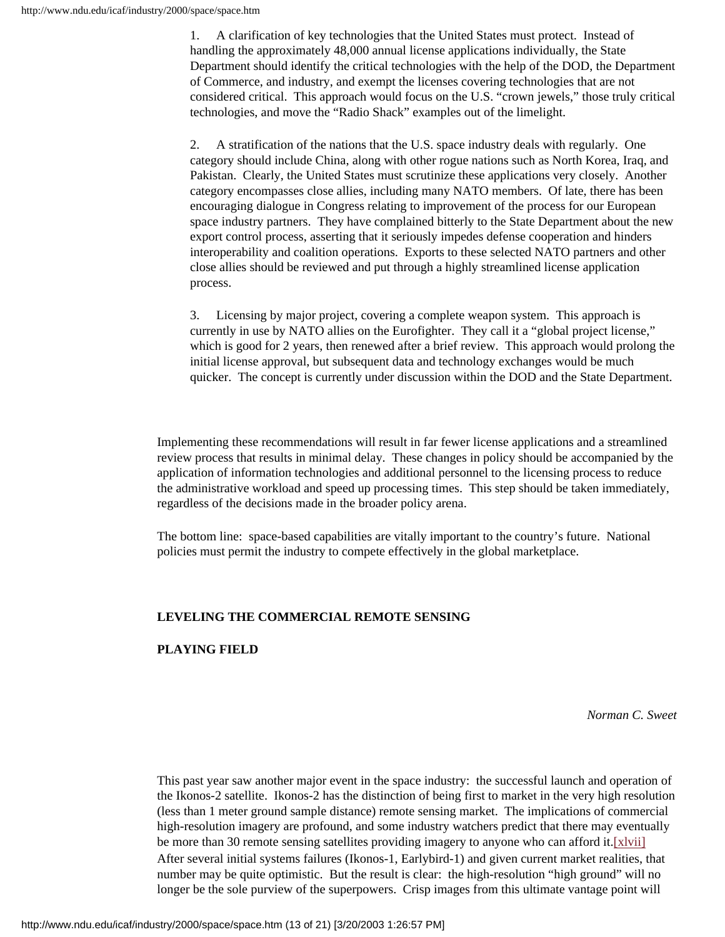1. A clarification of key technologies that the United States must protect. Instead of handling the approximately 48,000 annual license applications individually, the State Department should identify the critical technologies with the help of the DOD, the Department of Commerce, and industry, and exempt the licenses covering technologies that are not considered critical. This approach would focus on the U.S. "crown jewels," those truly critical technologies, and move the "Radio Shack" examples out of the limelight.

2. A stratification of the nations that the U.S. space industry deals with regularly. One category should include China, along with other rogue nations such as North Korea, Iraq, and Pakistan. Clearly, the United States must scrutinize these applications very closely. Another category encompasses close allies, including many NATO members. Of late, there has been encouraging dialogue in Congress relating to improvement of the process for our European space industry partners. They have complained bitterly to the State Department about the new export control process, asserting that it seriously impedes defense cooperation and hinders interoperability and coalition operations. Exports to these selected NATO partners and other close allies should be reviewed and put through a highly streamlined license application process.

3. Licensing by major project, covering a complete weapon system. This approach is currently in use by NATO allies on the Eurofighter. They call it a "global project license," which is good for 2 years, then renewed after a brief review. This approach would prolong the initial license approval, but subsequent data and technology exchanges would be much quicker. The concept is currently under discussion within the DOD and the State Department.

Implementing these recommendations will result in far fewer license applications and a streamlined review process that results in minimal delay. These changes in policy should be accompanied by the application of information technologies and additional personnel to the licensing process to reduce the administrative workload and speed up processing times. This step should be taken immediately, regardless of the decisions made in the broader policy arena.

The bottom line: space-based capabilities are vitally important to the country's future. National policies must permit the industry to compete effectively in the global marketplace.

## **LEVELING THE COMMERCIAL REMOTE SENSING**

### **PLAYING FIELD**

*Norman C. Sweet* 

<span id="page-12-0"></span>This past year saw another major event in the space industry: the successful launch and operation of the Ikonos-2 satellite. Ikonos-2 has the distinction of being first to market in the very high resolution (less than 1 meter ground sample distance) remote sensing market. The implications of commercial high-resolution imagery are profound, and some industry watchers predict that there may eventually be more than 30 remote sensing satellites providing imagery to anyone who can afford it. [xlvii] After several initial systems failures (Ikonos-1, Earlybird-1) and given current market realities, that number may be quite optimistic. But the result is clear: the high-resolution "high ground" will no longer be the sole purview of the superpowers. Crisp images from this ultimate vantage point will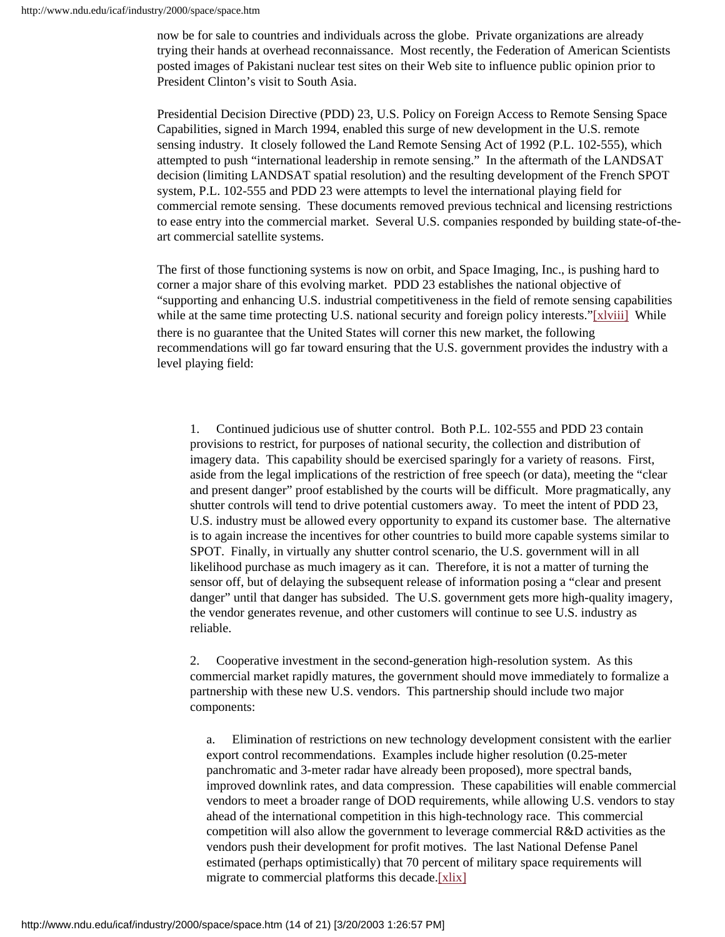now be for sale to countries and individuals across the globe. Private organizations are already trying their hands at overhead reconnaissance. Most recently, the Federation of American Scientists posted images of Pakistani nuclear test sites on their Web site to influence public opinion prior to President Clinton's visit to South Asia.

Presidential Decision Directive (PDD) 23, U.S. Policy on Foreign Access to Remote Sensing Space Capabilities, signed in March 1994, enabled this surge of new development in the U.S. remote sensing industry. It closely followed the Land Remote Sensing Act of 1992 (P.L. 102-555), which attempted to push "international leadership in remote sensing." In the aftermath of the LANDSAT decision (limiting LANDSAT spatial resolution) and the resulting development of the French SPOT system, P.L. 102-555 and PDD 23 were attempts to level the international playing field for commercial remote sensing. These documents removed previous technical and licensing restrictions to ease entry into the commercial market. Several U.S. companies responded by building state-of-theart commercial satellite systems.

<span id="page-13-0"></span>The first of those functioning systems is now on orbit, and Space Imaging, Inc., is pushing hard to corner a major share of this evolving market. PDD 23 establishes the national objective of "supporting and enhancing U.S. industrial competitiveness in the field of remote sensing capabilities while at the same time protecting U.S. national security and foreign policy interests."[\[xlviii\]](#page-18-12) While there is no guarantee that the United States will corner this new market, the following recommendations will go far toward ensuring that the U.S. government provides the industry with a level playing field:

1. Continued judicious use of shutter control. Both P.L. 102-555 and PDD 23 contain provisions to restrict, for purposes of national security, the collection and distribution of imagery data. This capability should be exercised sparingly for a variety of reasons. First, aside from the legal implications of the restriction of free speech (or data), meeting the "clear and present danger" proof established by the courts will be difficult. More pragmatically, any shutter controls will tend to drive potential customers away. To meet the intent of PDD 23, U.S. industry must be allowed every opportunity to expand its customer base. The alternative is to again increase the incentives for other countries to build more capable systems similar to SPOT. Finally, in virtually any shutter control scenario, the U.S. government will in all likelihood purchase as much imagery as it can. Therefore, it is not a matter of turning the sensor off, but of delaying the subsequent release of information posing a "clear and present danger" until that danger has subsided. The U.S. government gets more high-quality imagery, the vendor generates revenue, and other customers will continue to see U.S. industry as reliable.

2. Cooperative investment in the second-generation high-resolution system. As this commercial market rapidly matures, the government should move immediately to formalize a partnership with these new U.S. vendors. This partnership should include two major components:

<span id="page-13-1"></span>a. Elimination of restrictions on new technology development consistent with the earlier export control recommendations. Examples include higher resolution (0.25-meter panchromatic and 3-meter radar have already been proposed), more spectral bands, improved downlink rates, and data compression. These capabilities will enable commercial vendors to meet a broader range of DOD requirements, while allowing U.S. vendors to stay ahead of the international competition in this high-technology race. This commercial competition will also allow the government to leverage commercial R&D activities as the vendors push their development for profit motives. The last National Defense Panel estimated (perhaps optimistically) that 70 percent of military space requirements will migrate to commercial platforms this decade[.\[xlix\]](#page-18-13)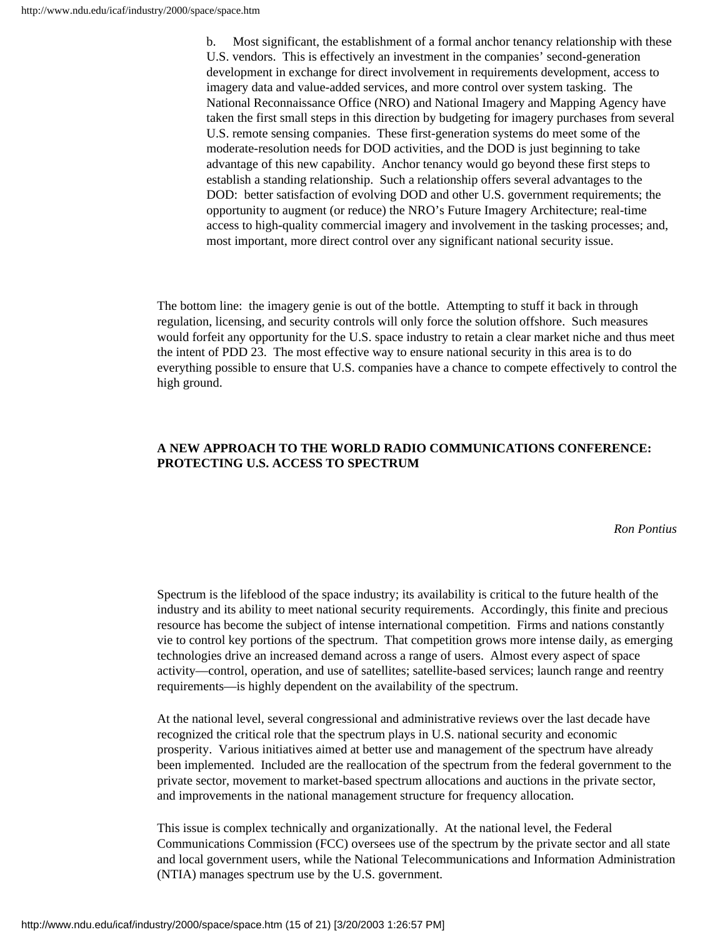b. Most significant, the establishment of a formal anchor tenancy relationship with these U.S. vendors. This is effectively an investment in the companies' second-generation development in exchange for direct involvement in requirements development, access to imagery data and value-added services, and more control over system tasking. The National Reconnaissance Office (NRO) and National Imagery and Mapping Agency have taken the first small steps in this direction by budgeting for imagery purchases from several U.S. remote sensing companies. These first-generation systems do meet some of the moderate-resolution needs for DOD activities, and the DOD is just beginning to take advantage of this new capability. Anchor tenancy would go beyond these first steps to establish a standing relationship. Such a relationship offers several advantages to the DOD: better satisfaction of evolving DOD and other U.S. government requirements; the opportunity to augment (or reduce) the NRO's Future Imagery Architecture; real-time access to high-quality commercial imagery and involvement in the tasking processes; and, most important, more direct control over any significant national security issue.

The bottom line: the imagery genie is out of the bottle. Attempting to stuff it back in through regulation, licensing, and security controls will only force the solution offshore. Such measures would forfeit any opportunity for the U.S. space industry to retain a clear market niche and thus meet the intent of PDD 23. The most effective way to ensure national security in this area is to do everything possible to ensure that U.S. companies have a chance to compete effectively to control the high ground.

## **A NEW APPROACH TO THE WORLD RADIO COMMUNICATIONS CONFERENCE: PROTECTING U.S. ACCESS TO SPECTRUM**

*Ron Pontius* 

Spectrum is the lifeblood of the space industry; its availability is critical to the future health of the industry and its ability to meet national security requirements. Accordingly, this finite and precious resource has become the subject of intense international competition. Firms and nations constantly vie to control key portions of the spectrum. That competition grows more intense daily, as emerging technologies drive an increased demand across a range of users. Almost every aspect of space activity—control, operation, and use of satellites; satellite-based services; launch range and reentry requirements—is highly dependent on the availability of the spectrum.

At the national level, several congressional and administrative reviews over the last decade have recognized the critical role that the spectrum plays in U.S. national security and economic prosperity. Various initiatives aimed at better use and management of the spectrum have already been implemented. Included are the reallocation of the spectrum from the federal government to the private sector, movement to market-based spectrum allocations and auctions in the private sector, and improvements in the national management structure for frequency allocation.

This issue is complex technically and organizationally. At the national level, the Federal Communications Commission (FCC) oversees use of the spectrum by the private sector and all state and local government users, while the National Telecommunications and Information Administration (NTIA) manages spectrum use by the U.S. government.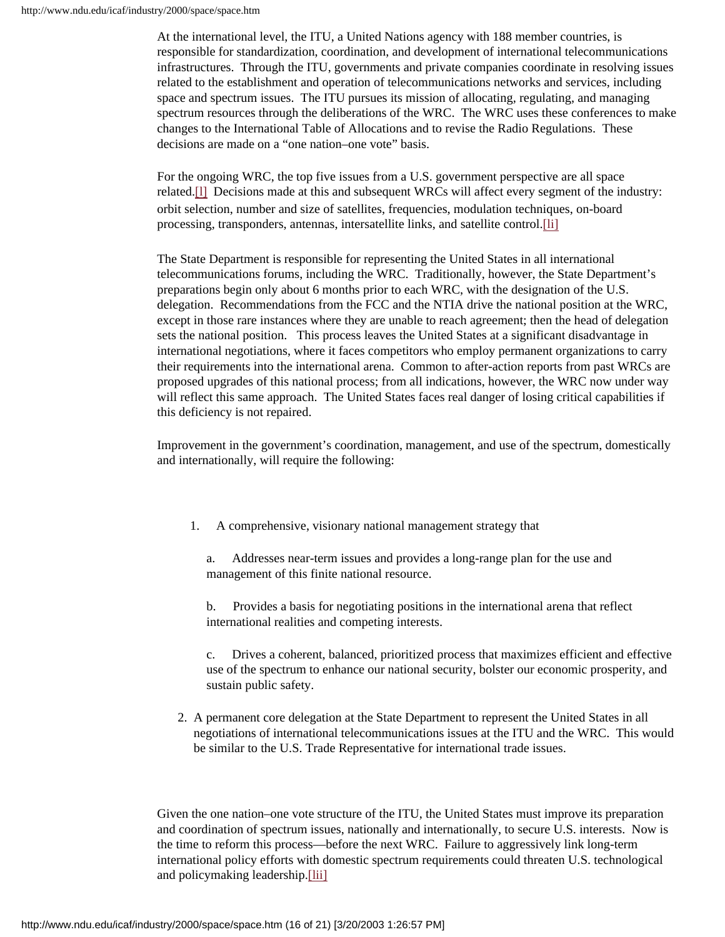At the international level, the ITU, a United Nations agency with 188 member countries, is responsible for standardization, coordination, and development of international telecommunications infrastructures. Through the ITU, governments and private companies coordinate in resolving issues related to the establishment and operation of telecommunications networks and services, including space and spectrum issues. The ITU pursues its mission of allocating, regulating, and managing spectrum resources through the deliberations of the WRC. The WRC uses these conferences to make changes to the International Table of Allocations and to revise the Radio Regulations. These decisions are made on a "one nation–one vote" basis.

<span id="page-15-0"></span>For the ongoing WRC, the top five issues from a U.S. government perspective are all space related.[\[l\]](#page-18-14) Decisions made at this and subsequent WRCs will affect every segment of the industry: orbit selection, number and size of satellites, frequencies, modulation techniques, on-board processing, transponders, antennas, intersatellite links, and satellite control.[\[li\]](#page-18-15)

<span id="page-15-1"></span>The State Department is responsible for representing the United States in all international telecommunications forums, including the WRC. Traditionally, however, the State Department's preparations begin only about 6 months prior to each WRC, with the designation of the U.S. delegation. Recommendations from the FCC and the NTIA drive the national position at the WRC, except in those rare instances where they are unable to reach agreement; then the head of delegation sets the national position. This process leaves the United States at a significant disadvantage in international negotiations, where it faces competitors who employ permanent organizations to carry their requirements into the international arena. Common to after-action reports from past WRCs are proposed upgrades of this national process; from all indications, however, the WRC now under way will reflect this same approach. The United States faces real danger of losing critical capabilities if this deficiency is not repaired.

Improvement in the government's coordination, management, and use of the spectrum, domestically and internationally, will require the following:

- 1. A comprehensive, visionary national management strategy that
	- a. Addresses near-term issues and provides a long-range plan for the use and management of this finite national resource.
	- b. Provides a basis for negotiating positions in the international arena that reflect international realities and competing interests.

c. Drives a coherent, balanced, prioritized process that maximizes efficient and effective use of the spectrum to enhance our national security, bolster our economic prosperity, and sustain public safety.

2. A permanent core delegation at the State Department to represent the United States in all negotiations of international telecommunications issues at the ITU and the WRC. This would be similar to the U.S. Trade Representative for international trade issues.

<span id="page-15-2"></span>Given the one nation–one vote structure of the ITU, the United States must improve its preparation and coordination of spectrum issues, nationally and internationally, to secure U.S. interests. Now is the time to reform this process—before the next WRC. Failure to aggressively link long-term international policy efforts with domestic spectrum requirements could threaten U.S. technological and policymaking leadership[.\[lii\]](#page-18-16)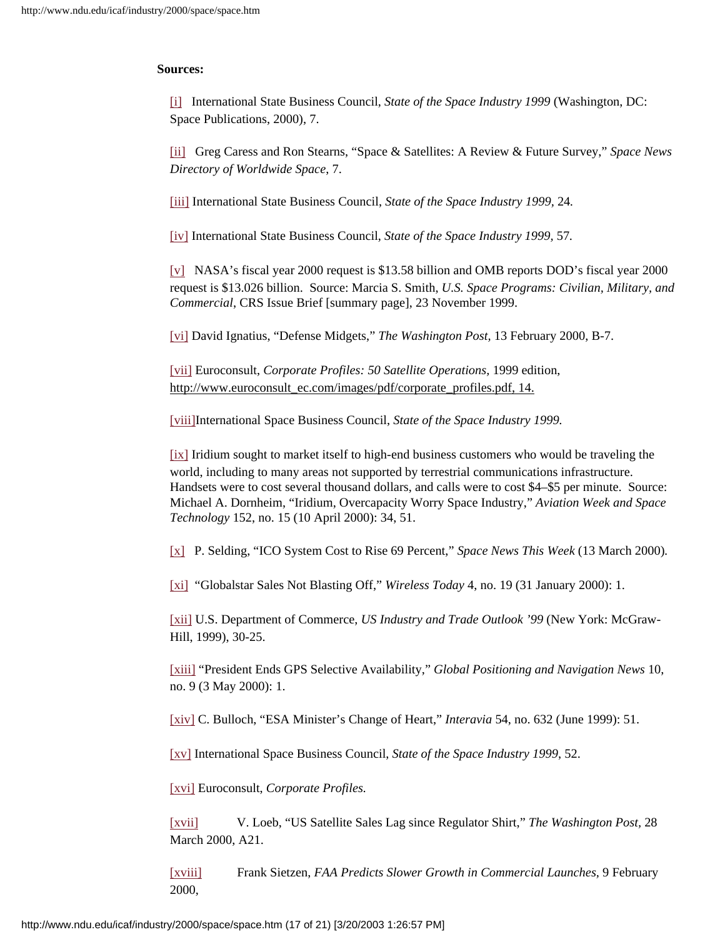## <span id="page-16-1"></span><span id="page-16-0"></span>**Sources:**

[\[i\]](#page-3-0) International State Business Council, *State of the Space Industry 1999* (Washington, DC: Space Publications, 2000), 7.

[\[ii\]](#page-3-1) Greg Caress and Ron Stearns, "Space & Satellites: A Review & Future Survey," *Space News Directory of Worldwide Space*, 7.

<span id="page-16-3"></span><span id="page-16-2"></span>[\[iii\]](#page-3-2) International State Business Council, *State of the Space Industry 1999,* 24*.* 

<span id="page-16-4"></span>[\[iv\]](#page-3-3) International State Business Council, *State of the Space Industry 1999,* 57*.*

[\[v\]](#page-3-4) NASA's fiscal year 2000 request is \$13.58 billion and OMB reports DOD's fiscal year 2000 request is \$13.026 billion. Source: Marcia S. Smith, *U.S. Space Programs: Civilian, Military, and Commercial*, CRS Issue Brief [summary page], 23 November 1999.

<span id="page-16-6"></span><span id="page-16-5"></span>[\[vi\]](#page-3-5) David Ignatius, "Defense Midgets," *The Washington Post,* 13 February 2000, B-7.

[\[vii\]](#page-4-0) Euroconsult, *Corporate Profiles: 50 Satellite Operations,* 1999 edition, http://www.euroconsult\_ec.com/images/pdf/corporate\_profiles.pdf, 14.

<span id="page-16-8"></span><span id="page-16-7"></span>[\[viii\]](#page-4-1)International Space Business Council, *State of the Space Industry 1999.*

[\[ix\]](#page-4-2) Iridium sought to market itself to high-end business customers who would be traveling the world, including to many areas not supported by terrestrial communications infrastructure. Handsets were to cost several thousand dollars, and calls were to cost \$4–\$5 per minute. Source: Michael A. Dornheim, "Iridium, Overcapacity Worry Space Industry," *Aviation Week and Space Technology* 152, no. 15 (10 April 2000): 34, 51.

<span id="page-16-10"></span><span id="page-16-9"></span>[\[x\]](#page-4-3) P. Selding, "ICO System Cost to Rise 69 Percent," *Space News This Week* (13 March 2000)*.* 

<span id="page-16-11"></span>[\[xi\]](#page-4-4) "Globalstar Sales Not Blasting Off," *Wireless Today* 4, no. 19 (31 January 2000): 1.

[\[xii\]](#page-4-5) U.S. Department of Commerce, *US Industry and Trade Outlook '99* (New York: McGraw-Hill, 1999), 30-25.

<span id="page-16-12"></span>[\[xiii\]](#page-4-6) "President Ends GPS Selective Availability," *Global Positioning and Navigation News* 10, no. 9 (3 May 2000): 1.

<span id="page-16-14"></span><span id="page-16-13"></span>[\[xiv\]](#page-4-7) C. Bulloch, "ESA Minister's Change of Heart," *Interavia* 54, no. 632 (June 1999): 51.

<span id="page-16-15"></span>[\[xv\]](#page-4-8) International Space Business Council, *State of the Space Industry 1999*, 52.

<span id="page-16-16"></span>[\[xvi\]](#page-4-9) Euroconsult, *Corporate Profiles.* 

[\[xvii\]](#page-4-10) V. Loeb, "US Satellite Sales Lag since Regulator Shirt," *The Washington Post,* 28 March 2000, A21.

<span id="page-16-17"></span>[\[xviii\]](#page-5-0) Frank Sietzen, *FAA Predicts Slower Growth in Commercial Launches,* 9 February 2000,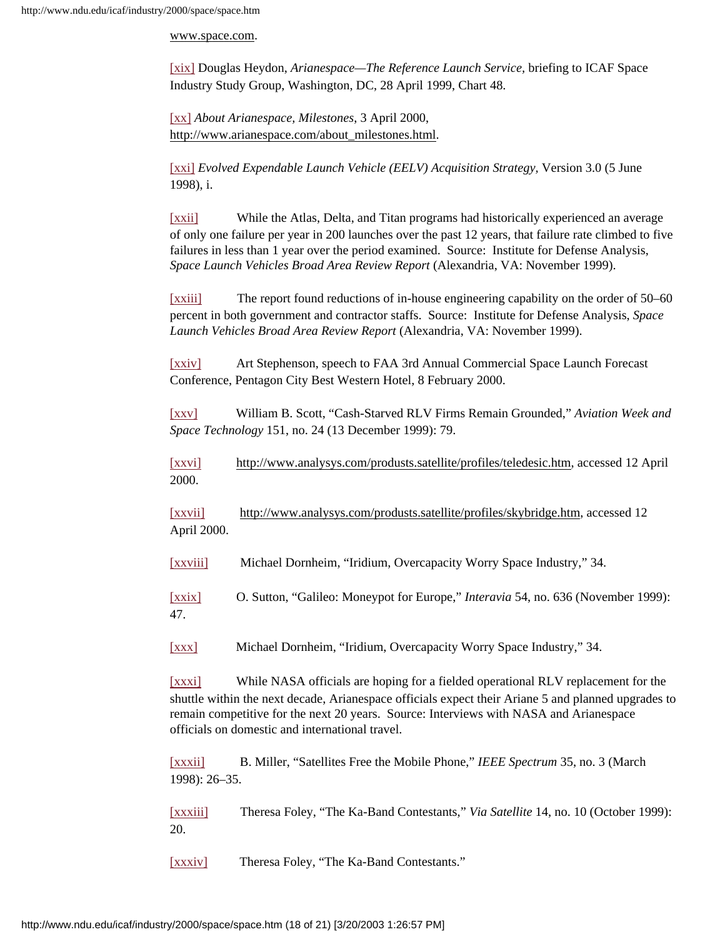<span id="page-17-0"></span>www.space.com.

[\[xix\]](#page-5-1) Douglas Heydon, *Arianespace—The Reference Launch Service,* briefing to ICAF Space Industry Study Group, Washington, DC, 28 April 1999, Chart 48.

<span id="page-17-1"></span>[\[xx\]](#page-5-2) *About Arianespace, Milestones*, 3 April 2000, http://www.arianespace.com/about\_milestones.html.

<span id="page-17-2"></span>[\[xxi\]](#page-5-3) *Evolved Expendable Launch Vehicle (EELV) Acquisition Strategy,* Version 3.0 (5 June 1998), i.

<span id="page-17-3"></span>[\[xxii\]](#page-5-4) While the Atlas, Delta, and Titan programs had historically experienced an average of only one failure per year in 200 launches over the past 12 years, that failure rate climbed to five failures in less than 1 year over the period examined. Source: Institute for Defense Analysis, *Space Launch Vehicles Broad Area Review Report* (Alexandria, VA: November 1999).

<span id="page-17-4"></span>[\[xxiii\]](#page-5-5) The report found reductions of in-house engineering capability on the order of 50–60 percent in both government and contractor staffs. Source: Institute for Defense Analysis, *Space Launch Vehicles Broad Area Review Report* (Alexandria, VA: November 1999).

<span id="page-17-5"></span>[\[xxiv\]](#page-5-6) Art Stephenson, speech to FAA 3rd Annual Commercial Space Launch Forecast Conference, Pentagon City Best Western Hotel, 8 February 2000.

<span id="page-17-6"></span>[\[xxv\]](#page-5-7) William B. Scott, "Cash-Starved RLV Firms Remain Grounded," *Aviation Week and Space Technology* 151, no. 24 (13 December 1999): 79.

<span id="page-17-7"></span>[\[xxvi\]](#page-6-0) http://www.analysys.com/produsts.satellite/profiles/teledesic.htm, accessed 12 April 2000.

<span id="page-17-8"></span>[\[xxvii\]](#page-6-0) http://www.analysys.com/produsts.satellite/profiles/skybridge.htm, accessed 12 April 2000.

<span id="page-17-10"></span><span id="page-17-9"></span>[\[xxviii\]](#page-6-0) Michael Dornheim, "Iridium, Overcapacity Worry Space Industry," 34.

[\[xxix\]](#page-6-1) O. Sutton, "Galileo: Moneypot for Europe," *Interavia* 54, no. 636 (November 1999): 47.

<span id="page-17-12"></span><span id="page-17-11"></span>[\[xxx\]](#page-7-0) Michael Dornheim, "Iridium, Overcapacity Worry Space Industry," 34.

[\[xxxi\]](#page-8-0) While NASA officials are hoping for a fielded operational RLV replacement for the shuttle within the next decade, Arianespace officials expect their Ariane 5 and planned upgrades to remain competitive for the next 20 years. Source: Interviews with NASA and Arianespace officials on domestic and international travel.

<span id="page-17-13"></span>[\[xxxii\]](#page-9-0) B. Miller, "Satellites Free the Mobile Phone," *IEEE Spectrum* 35, no. 3 (March 1998): 26–35.

<span id="page-17-14"></span>[\[xxxiii\]](#page-9-1) Theresa Foley, "The Ka-Band Contestants," *Via Satellite* 14, no. 10 (October 1999): 20.

<span id="page-17-16"></span><span id="page-17-15"></span>[\[xxxiv\]](#page-9-2) Theresa Foley, "The Ka-Band Contestants."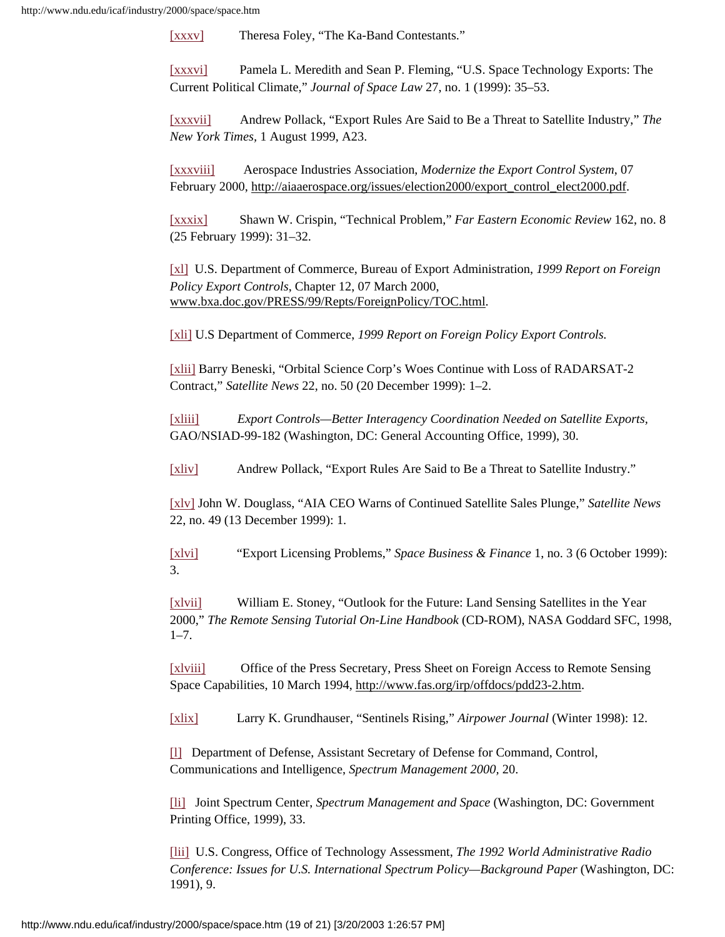<span id="page-18-0"></span>[XXXV] Theresa Foley, "The Ka-Band Contestants."

[\[xxxvi\]](#page-11-0) Pamela L. Meredith and Sean P. Fleming, "U.S. Space Technology Exports: The Current Political Climate," *Journal of Space Law* 27, no. 1 (1999): 35–53.

<span id="page-18-1"></span>[\[xxxvii\]](#page-11-1) Andrew Pollack, "Export Rules Are Said to Be a Threat to Satellite Industry," *The New York Times,* 1 August 1999, A23.

<span id="page-18-3"></span><span id="page-18-2"></span>[\[xxxviii\]](#page-11-2) Aerospace Industries Association, *Modernize the Export Control System*, 07 February 2000, http://aiaaerospace.org/issues/election2000/export\_control\_elect2000.pdf.

[\[xxxix\]](#page-11-3) Shawn W. Crispin, "Technical Problem," *Far Eastern Economic Review* 162, no. 8 (25 February 1999): 31–32.

<span id="page-18-4"></span>[\[xl\]](#page-11-4) U.S. Department of Commerce, Bureau of Export Administration, *1999 Report on Foreign Policy Export Controls*, Chapter 12, 07 March 2000, www.bxa.doc.gov/PRESS/99/Repts/ForeignPolicy/TOC.html.

<span id="page-18-6"></span><span id="page-18-5"></span>[\[xli\]](#page-11-5) U.S Department of Commerce, *1999 Report on Foreign Policy Export Controls.* 

[\[xlii\]](#page-11-6) Barry Beneski, "Orbital Science Corp's Woes Continue with Loss of RADARSAT-2 Contract," *Satellite News* 22, no. 50 (20 December 1999): 1–2.

<span id="page-18-7"></span>[\[xliii\]](#page-11-7) *Export Controls—Better Interagency Coordination Needed on Satellite Exports,* GAO/NSIAD-99-182 (Washington, DC: General Accounting Office, 1999), 30.

<span id="page-18-9"></span><span id="page-18-8"></span>[\[xliv\]](#page-11-8) Andrew Pollack, "Export Rules Are Said to Be a Threat to Satellite Industry."

[\[xlv\]](#page-11-9) John W. Douglass, "AIA CEO Warns of Continued Satellite Sales Plunge," *Satellite News* 22, no. 49 (13 December 1999): 1.

<span id="page-18-10"></span>[\[xlvi\]](#page-11-10) "Export Licensing Problems," *Space Business & Finance* 1, no. 3 (6 October 1999): 3.

<span id="page-18-11"></span>[\[xlvii\]](#page-12-0) William E. Stoney, "Outlook for the Future: Land Sensing Satellites in the Year 2000," *The Remote Sensing Tutorial On-Line Handbook* (CD-ROM), NASA Goddard SFC, 1998,  $1 - 7$ .

<span id="page-18-12"></span>[\[xlviii\]](#page-13-0) Office of the Press Secretary, Press Sheet on Foreign Access to Remote Sensing Space Capabilities, 10 March 1994, http://www.fas.org/irp/offdocs/pdd23-2.htm.

<span id="page-18-14"></span><span id="page-18-13"></span>[\[xlix\]](#page-13-1) Larry K. Grundhauser, "Sentinels Rising," *Airpower Journal* (Winter 1998): 12.

[\[l\]](#page-15-0) Department of Defense, Assistant Secretary of Defense for Command, Control, Communications and Intelligence, *Spectrum Management 2000,* 20.

<span id="page-18-15"></span>[\[li\]](#page-15-1) Joint Spectrum Center, *Spectrum Management and Space* (Washington, DC: Government Printing Office, 1999), 33.

<span id="page-18-16"></span>[\[lii\]](#page-15-2) U.S. Congress, Office of Technology Assessment, *The 1992 World Administrative Radio Conference: Issues for U.S. International Spectrum Policy—Background Paper (Washington, DC:* 1991), 9.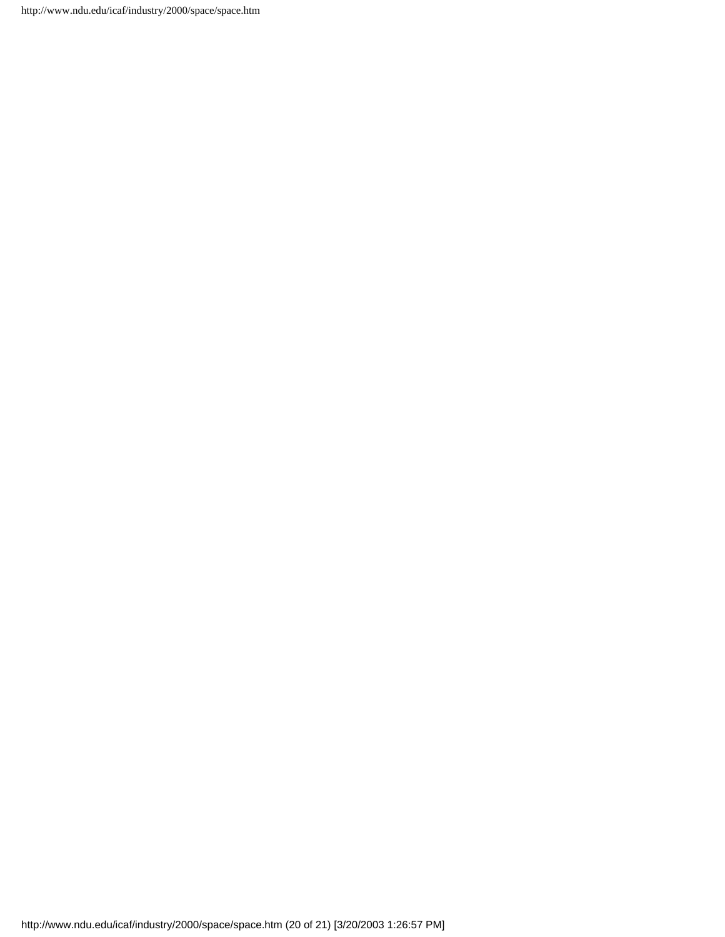http://www.ndu.edu/icaf/industry/2000/space/space.htm